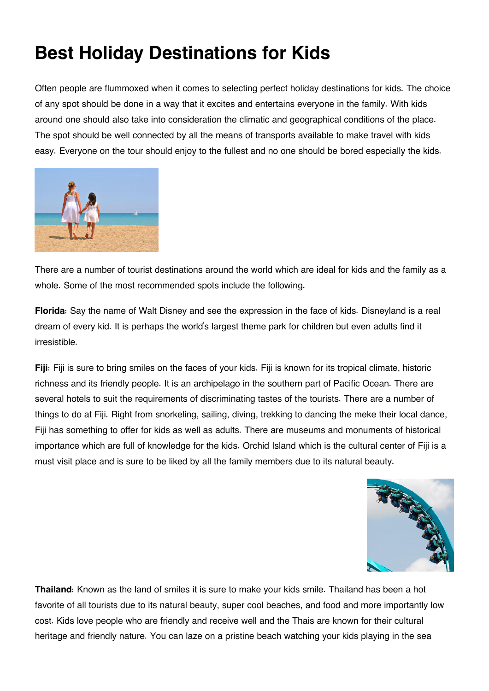## **Best Holiday Destinations for Kids**

Often people are flummoxed when it comes to selecting perfect holiday destinations for kids. The choice of any spot should be done in a way that it excites and entertains everyone in the family. With kids around one should also take into consideration the climatic and geographical conditions of the place. The spot should be well connected by all the means of transports available to make travel with kids easy. Everyone on the tour should enjoy to the fullest and no one should be bored especially the kids.



There are a number of tourist destinations around the world which are ideal for kids and the family as a whole. Some of the most recommended spots include the following.

**Florida**: Say the name of Walt Disney and see the expression in the face of kids. Disneyland is a real dream of every kid. It is perhaps the world's largest theme park for children but even adults find it irresistible.

**Fiji**: Fiji is sure to bring smiles on the faces of your kids. Fiji is known for its tropical climate, historic richness and its friendly people. It is an archipelago in the southern part of Pacific Ocean. There are several hotels to suit the requirements of discriminating tastes of the tourists. There are a number of things to do at Fiji. Right from snorkeling, sailing, diving, trekking to dancing the meke their local dance, Fiji has something to offer for kids as well as adults. There are museums and monuments of historical importance which are full of knowledge for the kids. Orchid Island which is the cultural center of Fiji is a must visit place and is sure to be liked by all the family members due to its natural beauty.



**Thailand**: Known as the land of smiles it is sure to make your kids smile. Thailand has been a hot favorite of all tourists due to its natural beauty, super cool beaches, and food and more importantly low cost. Kids love people who are friendly and receive well and the Thais are known for their cultural heritage and friendly nature. You can laze on a pristine beach watching your kids playing in the sea